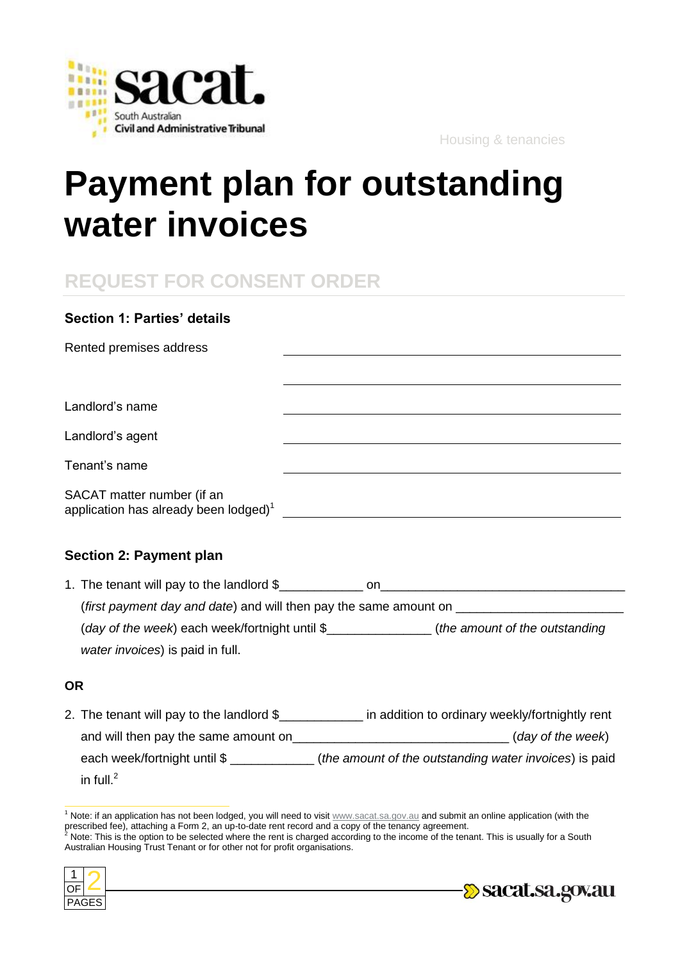

Housing & tenancies

# **Payment plan for outstanding water invoices**

## **REQUEST FOR CONSENT ORDER**

| <b>Section 1: Parties' details</b>                                                                                                                                                                                                                                    |                                                                                                                  |
|-----------------------------------------------------------------------------------------------------------------------------------------------------------------------------------------------------------------------------------------------------------------------|------------------------------------------------------------------------------------------------------------------|
| Rented premises address                                                                                                                                                                                                                                               |                                                                                                                  |
|                                                                                                                                                                                                                                                                       |                                                                                                                  |
| Landlord's name                                                                                                                                                                                                                                                       |                                                                                                                  |
| Landlord's agent                                                                                                                                                                                                                                                      | and the control of the control of the control of the control of the control of the control of the control of the |
| Tenant's name                                                                                                                                                                                                                                                         |                                                                                                                  |
| SACAT matter number (if an<br>application has already been lodged) <sup>1</sup> [1994] [1994] [1994] [1994] [1994] [1994] [1994] [1994] [1994] [1994] [1994] [1994] [1994] [1994] [1994] [1994] [1994] [1994] [1994] [1994] [1994] [1994] [1994] [1994] [1994] [1994] |                                                                                                                  |
| <b>Section 2: Payment plan</b>                                                                                                                                                                                                                                        |                                                                                                                  |
|                                                                                                                                                                                                                                                                       |                                                                                                                  |
| (first payment day and date) and will then pay the same amount on <b>Fig. 1.2. Aproximation</b>                                                                                                                                                                       |                                                                                                                  |
| (day of the week) each week/fortnight until \$______________(the amount of the outstanding                                                                                                                                                                            |                                                                                                                  |
| water invoices) is paid in full.                                                                                                                                                                                                                                      |                                                                                                                  |

### **OR**

 $\overline{a}$ 

2. The tenant will pay to the landlord \$\_\_\_\_\_\_\_\_\_\_\_\_\_ in addition to ordinary weekly/fortnightly rent and will then pay the same amount on **Example 20** (*day of the week*) each week/fortnight until \$ \_\_\_\_\_\_\_\_\_\_\_\_ (*the amount of the outstanding water invoices*) is paid in full. 2

Australian Housing Trust Tenant or for other not for profit organisations.





 $1$  Note: if an application has not been lodged, you will need to visit  $www.sacat.sa.gov.au$  and submit an online application (with the prescribed fee), attaching a Form 2, an up-to-date rent record and a copy of the tenancy agreement.<br><sup>2</sup> Note: This is the option to be selected where the rent is charged according to the income of the tenant. This is usual